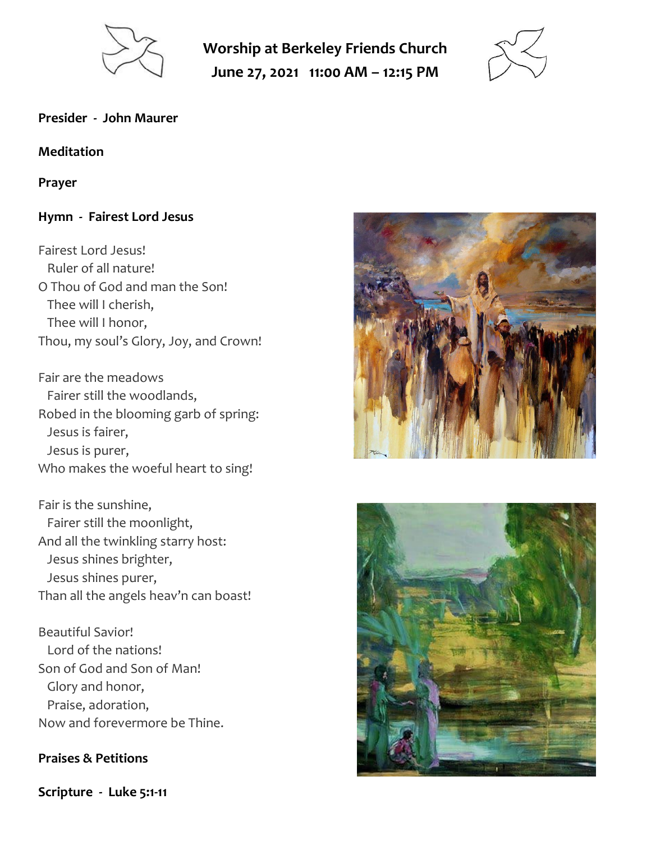

**Worship at Berkeley Friends Church June 27, 2021 11:00 AM – 12:15 PM**



#### **Presider - John Maurer**

#### **Meditation**

#### **Prayer**

## **Hymn - Fairest Lord Jesus**

Fairest Lord Jesus! Ruler of all nature! O Thou of God and man the Son! Thee will I cherish, Thee will I honor, Thou, my soul's Glory, Joy, and Crown!

Fair are the meadows Fairer still the woodlands, Robed in the blooming garb of spring: Jesus is fairer, Jesus is purer, Who makes the woeful heart to sing!

Fair is the sunshine, Fairer still the moonlight, And all the twinkling starry host: Jesus shines brighter, Jesus shines purer, Than all the angels heav'n can boast!

Beautiful Savior! Lord of the nations! Son of God and Son of Man! Glory and honor, Praise, adoration, Now and forevermore be Thine.

#### **Praises & Petitions**

**Scripture - Luke 5:1-11**



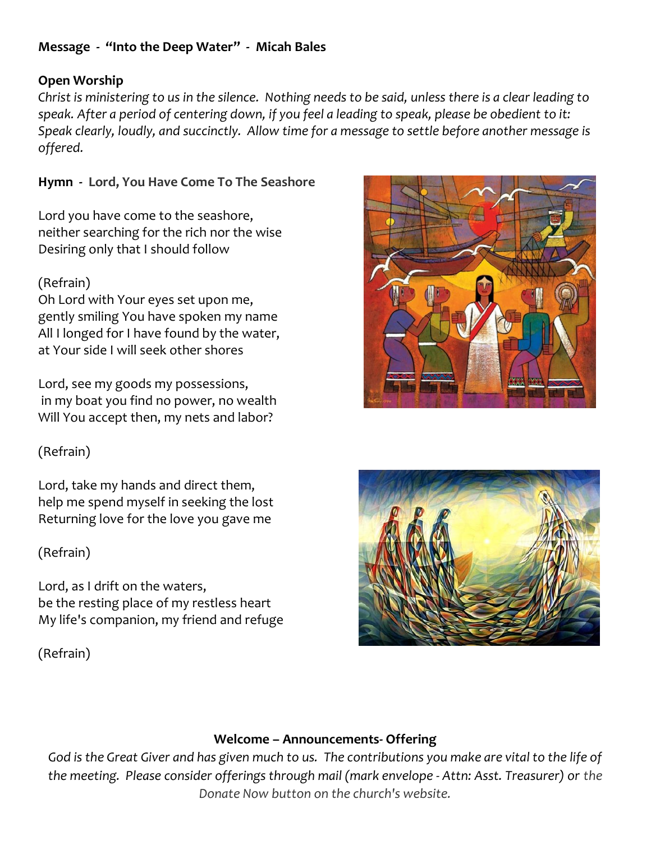# **Message - "Into the Deep Water" - Micah Bales**

## **Open Worship**

*Christ is ministering to us in the silence. Nothing needs to be said, unless there is a clear leading to speak. After a period of centering down, if you feel a leading to speak, please be obedient to it: Speak clearly, loudly, and succinctly. Allow time for a message to settle before another message is offered.*

**Hymn - Lord, You Have Come To The Seashore**

Lord you have come to the seashore, neither searching for the rich nor the wise Desiring only that I should follow

# (Refrain)

Oh Lord with Your eyes set upon me, gently smiling You have spoken my name All I longed for I have found by the water, at Your side I will seek other shores

Lord, see my goods my possessions, in my boat you find no power, no wealth Will You accept then, my nets and labor?

(Refrain)

Lord, take my hands and direct them, help me spend myself in seeking the lost Returning love for the love you gave me

(Refrain)

Lord, as I drift on the waters, be the resting place of my restless heart My life's companion, my friend and refuge

(Refrain)





## **Welcome – Announcements- Offering**

*God is the Great Giver and has given much to us. The contributions you make are vital to the life of the meeting. Please consider offerings through mail (mark envelope - Attn: Asst. Treasurer) or the Donate Now button on the church's website.*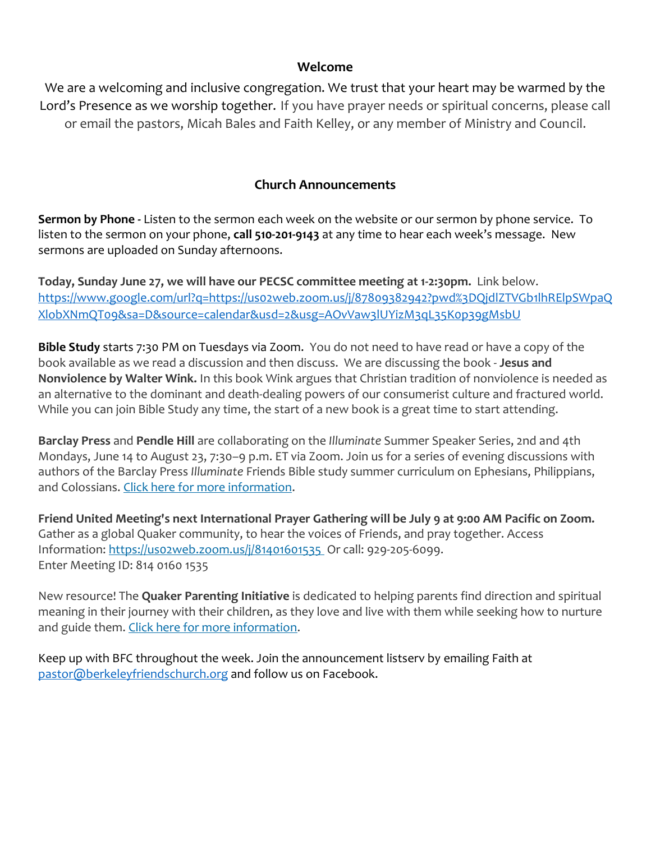#### **Welcome**

We are a welcoming and inclusive congregation. We trust that your heart may be warmed by the Lord's Presence as we worship together. If you have prayer needs or spiritual concerns, please call or email the pastors, Micah Bales and Faith Kelley, or any member of Ministry and Council.

# **Church Announcements**

**Sermon by Phone -** Listen to the sermon each week on the website or our sermon by phone service. To listen to the sermon on your phone, **call 510-201-9143** at any time to hear each week's message. New sermons are uploaded on Sunday afternoons.

**Today, Sunday June 27, we will have our PECSC committee meeting at 1-2:30pm.** Link below. [https://www.google.com/url?q=https://us02web.zoom.us/j/87809382942?pwd%3DQjdlZTVGb1lhRElpSWpaQ](https://www.google.com/url?q=https://us02web.zoom.us/j/87809382942?pwd%3DQjdlZTVGb1lhRElpSWpaQXlobXNmQT09&sa=D&source=calendar&usd=2&usg=AOvVaw3lUYizM3qL35K0p39gMsbU) [XlobXNmQT09&sa=D&source=calendar&usd=2&usg=AOvVaw3lUYizM3qL35K0p39gMsbU](https://www.google.com/url?q=https://us02web.zoom.us/j/87809382942?pwd%3DQjdlZTVGb1lhRElpSWpaQXlobXNmQT09&sa=D&source=calendar&usd=2&usg=AOvVaw3lUYizM3qL35K0p39gMsbU)

**Bible Study** starts 7:30 PM on Tuesdays via Zoom. You do not need to have read or have a copy of the book available as we read a discussion and then discuss. We are discussing the book - **Jesus and Nonviolence by Walter Wink.** In this book Wink argues that Christian tradition of nonviolence is needed as an alternative to the dominant and death-dealing powers of our consumerist culture and fractured world. While you can join Bible Study any time, the start of a new book is a great time to start attending.

**Barclay Press** and **Pendle Hill** are collaborating on the *Illuminate* Summer Speaker Series, 2nd and 4th Mondays, June 14 to August 23, 7:30–9 p.m. ET via Zoom. Join us for a series of evening discussions with authors of the Barclay Press *Illuminate* Friends Bible study summer curriculum on Ephesians, Philippians, and Colossians. [Click here for more information.](https://scymf.us15.list-manage.com/track/click?u=b3919ba778f46050fb765c146&id=8d1e399759&e=445a862d65)

**Friend United Meeting's next International Prayer Gathering will be July 9 at 9:00 AM Pacific on Zoom.**  Gather as a global Quaker community, to hear the voices of Friends, and pray together. Access Information: https://uso2web.zoom.us/j/81401601535 Or call: 929-205-6099. Enter Meeting ID: 814 0160 1535

New resource! The **Quaker Parenting Initiative** is dedicated to helping parents find direction and spiritual meaning in their journey with their children, as they love and live with them while seeking how to nurture and guide them. [Click here for more information.](https://scymf.us15.list-manage.com/track/click?u=b3919ba778f46050fb765c146&id=e0c462929f&e=445a862d65)

Keep up with BFC throughout the week. Join the announcement listserv by emailing Faith at [pastor@berkeleyfriendschurch.org](mailto:pastor@berkeleyfriendschurch.org) and follow us on Facebook.